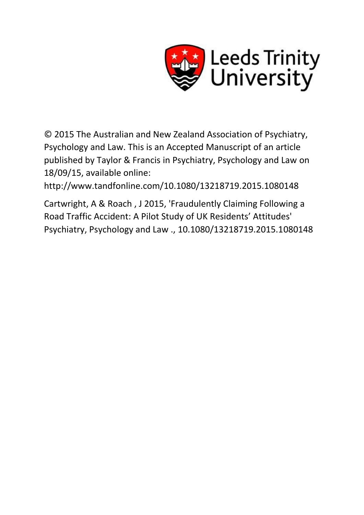

© 2015 The Australian and New Zealand Association of Psychiatry, Psychology and Law. This is an Accepted Manuscript of an article published by Taylor & Francis in Psychiatry, Psychology and Law on 18/09/15, available online:

http://www.tandfonline.com/10.1080/13218719.2015.1080148

Cartwright, A & Roach , J 2015, 'Fraudulently Claiming Following a Road Traffic Accident: A Pilot Study of UK Residents' Attitudes' Psychiatry, Psychology and Law ., 10.1080/13218719.2015.1080148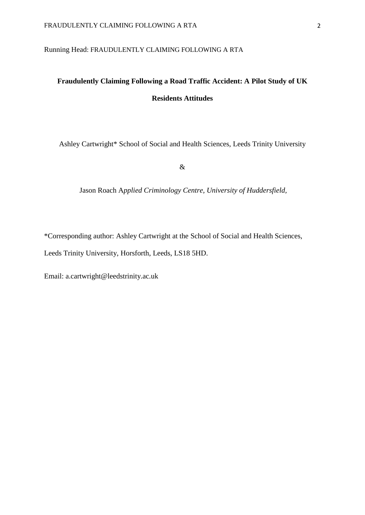# Running Head: FRAUDULENTLY CLAIMING FOLLOWING A RTA

# **Fraudulently Claiming Following a Road Traffic Accident: A Pilot Study of UK Residents Attitudes**

Ashley Cartwright\* School of Social and Health Sciences, Leeds Trinity University

&

Jason Roach A*pplied Criminology Centre, University of Huddersfield,* 

\*Corresponding author: Ashley Cartwright at the School of Social and Health Sciences,

Leeds Trinity University, Horsforth, Leeds, LS18 5HD.

Email: a.cartwright@leedstrinity.ac.uk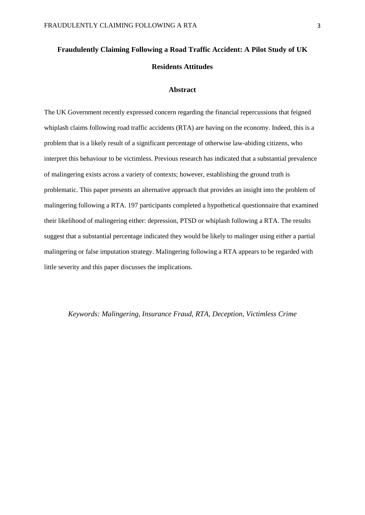# **Fraudulently Claiming Following a Road Traffic Accident: A Pilot Study of UK Residents Attitudes**

### **Abstract**

The UK Government recently expressed concern regarding the financial repercussions that feigned whiplash claims following road traffic accidents (RTA) are having on the economy. Indeed, this is a problem that is a likely result of a significant percentage of otherwise law-abiding citizens, who interpret this behaviour to be victimless. Previous research has indicated that a substantial prevalence of malingering exists across a variety of contexts; however, establishing the ground truth is problematic. This paper presents an alternative approach that provides an insight into the problem of malingering following a RTA. 197 participants completed a hypothetical questionnaire that examined their likelihood of malingering either: depression, PTSD or whiplash following a RTA. The results suggest that a substantial percentage indicated they would be likely to malinger using either a partial malingering or false imputation strategy. Malingering following a RTA appears to be regarded with little severity and this paper discusses the implications.

# *Keywords: Malingering, Insurance Fraud, RTA, Deception, Victimless Crime*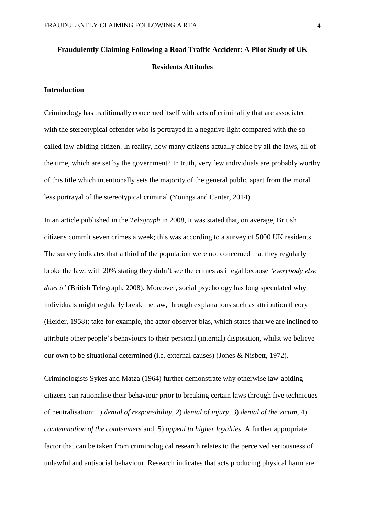# **Fraudulently Claiming Following a Road Traffic Accident: A Pilot Study of UK Residents Attitudes**

### **Introduction**

Criminology has traditionally concerned itself with acts of criminality that are associated with the stereotypical offender who is portrayed in a negative light compared with the socalled law-abiding citizen. In reality, how many citizens actually abide by all the laws, all of the time, which are set by the government? In truth, very few individuals are probably worthy of this title which intentionally sets the majority of the general public apart from the moral less portrayal of the stereotypical criminal (Youngs and Canter, 2014).

In an article published in the *Telegraph* in 2008, it was stated that, on average, British citizens commit seven crimes a week; this was according to a survey of 5000 UK residents. The survey indicates that a third of the population were not concerned that they regularly broke the law, with 20% stating they didn't see the crimes as illegal because *'everybody else does it'* (British Telegraph, 2008). Moreover, social psychology has long speculated why individuals might regularly break the law, through explanations such as attribution theory (Heider, 1958); take for example, the actor observer bias, which states that we are inclined to attribute other people's behaviours to their personal (internal) disposition, whilst we believe our own to be situational determined (i.e. external causes) (Jones & Nisbett, 1972).

Criminologists Sykes and Matza (1964) further demonstrate why otherwise law-abiding citizens can rationalise their behaviour prior to breaking certain laws through five techniques of neutralisation: 1) *denial of responsibility*, 2) *denial of injury*, 3) *denial of the victim*, 4) *condemnation of the condemners* and, 5) *appeal to higher loyalties*. A further appropriate factor that can be taken from criminological research relates to the perceived seriousness of unlawful and antisocial behaviour. Research indicates that acts producing physical harm are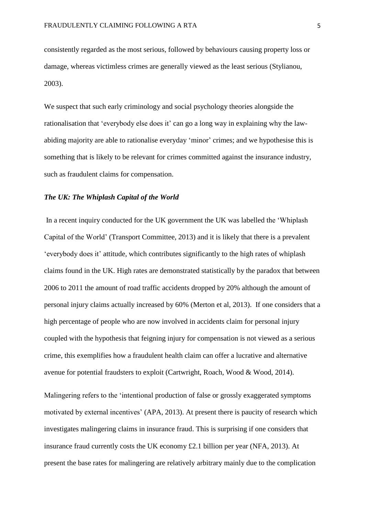consistently regarded as the most serious, followed by behaviours causing property loss or damage, whereas victimless crimes are generally viewed as the least serious (Stylianou, 2003).

We suspect that such early criminology and social psychology theories alongside the rationalisation that 'everybody else does it' can go a long way in explaining why the lawabiding majority are able to rationalise everyday 'minor' crimes; and we hypothesise this is something that is likely to be relevant for crimes committed against the insurance industry, such as fraudulent claims for compensation.

# *The UK: The Whiplash Capital of the World*

In a recent inquiry conducted for the UK government the UK was labelled the 'Whiplash Capital of the World' (Transport Committee, 2013) and it is likely that there is a prevalent 'everybody does it' attitude, which contributes significantly to the high rates of whiplash claims found in the UK. High rates are demonstrated statistically by the paradox that between 2006 to 2011 the amount of road traffic accidents dropped by 20% although the amount of personal injury claims actually increased by 60% (Merton et al, 2013). If one considers that a high percentage of people who are now involved in accidents claim for personal injury coupled with the hypothesis that feigning injury for compensation is not viewed as a serious crime, this exemplifies how a fraudulent health claim can offer a lucrative and alternative avenue for potential fraudsters to exploit (Cartwright, Roach, Wood & Wood, 2014).

Malingering refers to the 'intentional production of false or grossly exaggerated symptoms motivated by external incentives' (APA, 2013). At present there is paucity of research which investigates malingering claims in insurance fraud. This is surprising if one considers that insurance fraud currently costs the UK economy £2.1 billion per year (NFA, 2013). At present the base rates for malingering are relatively arbitrary mainly due to the complication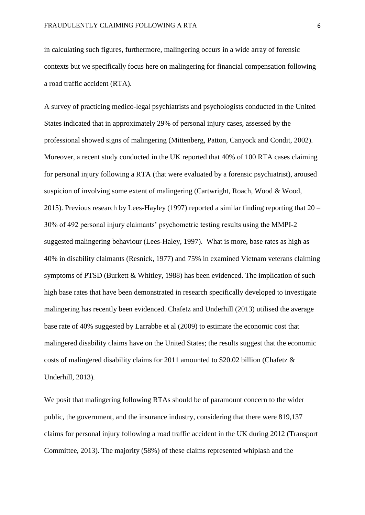in calculating such figures, furthermore, malingering occurs in a wide array of forensic contexts but we specifically focus here on malingering for financial compensation following a road traffic accident (RTA).

A survey of practicing medico-legal psychiatrists and psychologists conducted in the United States indicated that in approximately 29% of personal injury cases, assessed by the professional showed signs of malingering (Mittenberg, Patton, Canyock and Condit, 2002). Moreover, a recent study conducted in the UK reported that 40% of 100 RTA cases claiming for personal injury following a RTA (that were evaluated by a forensic psychiatrist), aroused suspicion of involving some extent of malingering (Cartwright, Roach, Wood & Wood, 2015). Previous research by Lees-Hayley (1997) reported a similar finding reporting that 20 – 30% of 492 personal injury claimants' psychometric testing results using the MMPI-2 suggested malingering behaviour (Lees-Haley, 1997). What is more, base rates as high as 40% in disability claimants (Resnick, 1977) and 75% in examined Vietnam veterans claiming symptoms of PTSD (Burkett & Whitley, 1988) has been evidenced. The implication of such high base rates that have been demonstrated in research specifically developed to investigate malingering has recently been evidenced. Chafetz and Underhill (2013) utilised the average base rate of 40% suggested by Larrabbe et al (2009) to estimate the economic cost that malingered disability claims have on the United States; the results suggest that the economic costs of malingered disability claims for 2011 amounted to \$20.02 billion (Chafetz & Underhill, 2013).

We posit that malingering following RTAs should be of paramount concern to the wider public, the government, and the insurance industry, considering that there were 819,137 claims for personal injury following a road traffic accident in the UK during 2012 (Transport Committee, 2013). The majority (58%) of these claims represented whiplash and the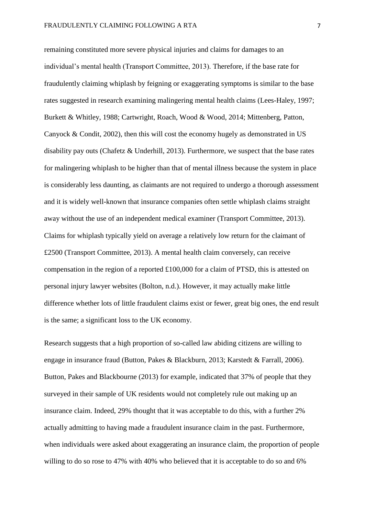remaining constituted more severe physical injuries and claims for damages to an individual's mental health (Transport Committee, 2013). Therefore, if the base rate for fraudulently claiming whiplash by feigning or exaggerating symptoms is similar to the base rates suggested in research examining malingering mental health claims (Lees-Haley, 1997; Burkett & Whitley, 1988; Cartwright, Roach, Wood & Wood, 2014; Mittenberg, Patton, Canyock & Condit, 2002), then this will cost the economy hugely as demonstrated in US disability pay outs (Chafetz & Underhill, 2013). Furthermore, we suspect that the base rates for malingering whiplash to be higher than that of mental illness because the system in place is considerably less daunting, as claimants are not required to undergo a thorough assessment and it is widely well-known that insurance companies often settle whiplash claims straight away without the use of an independent medical examiner (Transport Committee, 2013). Claims for whiplash typically yield on average a relatively low return for the claimant of £2500 (Transport Committee, 2013). A mental health claim conversely, can receive compensation in the region of a reported £100,000 for a claim of PTSD, this is attested on personal injury lawyer websites (Bolton, n.d.). However, it may actually make little difference whether lots of little fraudulent claims exist or fewer, great big ones, the end result is the same; a significant loss to the UK economy.

Research suggests that a high proportion of so-called law abiding citizens are willing to engage in insurance fraud (Button, Pakes & Blackburn, 2013; Karstedt & Farrall, 2006). Button, Pakes and Blackbourne (2013) for example, indicated that 37% of people that they surveyed in their sample of UK residents would not completely rule out making up an insurance claim. Indeed, 29% thought that it was acceptable to do this, with a further 2% actually admitting to having made a fraudulent insurance claim in the past. Furthermore, when individuals were asked about exaggerating an insurance claim, the proportion of people willing to do so rose to 47% with 40% who believed that it is acceptable to do so and 6%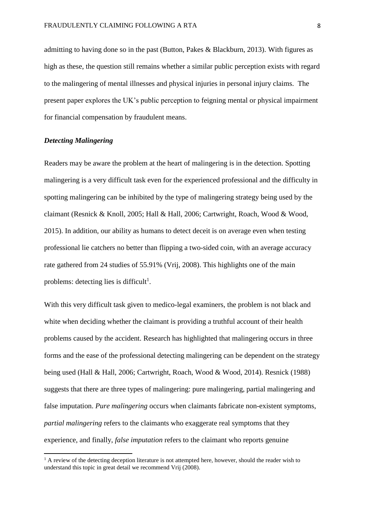admitting to having done so in the past (Button, Pakes & Blackburn, 2013). With figures as high as these, the question still remains whether a similar public perception exists with regard to the malingering of mental illnesses and physical injuries in personal injury claims. The present paper explores the UK's public perception to feigning mental or physical impairment for financial compensation by fraudulent means.

#### *Detecting Malingering*

 $\overline{a}$ 

Readers may be aware the problem at the heart of malingering is in the detection. Spotting malingering is a very difficult task even for the experienced professional and the difficulty in spotting malingering can be inhibited by the type of malingering strategy being used by the claimant (Resnick & Knoll, 2005; Hall & Hall, 2006; Cartwright, Roach, Wood & Wood, 2015). In addition, our ability as humans to detect deceit is on average even when testing professional lie catchers no better than flipping a two-sided coin, with an average accuracy rate gathered from 24 studies of 55.91% (Vrij, 2008). This highlights one of the main problems: detecting lies is difficult<sup>1</sup>.

With this very difficult task given to medico-legal examiners, the problem is not black and white when deciding whether the claimant is providing a truthful account of their health problems caused by the accident. Research has highlighted that malingering occurs in three forms and the ease of the professional detecting malingering can be dependent on the strategy being used (Hall & Hall, 2006; Cartwright, Roach, Wood & Wood, 2014). Resnick (1988) suggests that there are three types of malingering: pure malingering, partial malingering and false imputation. *Pure malingering* occurs when claimants fabricate non-existent symptoms, *partial malingering* refers to the claimants who exaggerate real symptoms that they experience, and finally, *false imputation* refers to the claimant who reports genuine

 $<sup>1</sup>$  A review of the detecting deception literature is not attempted here, however, should the reader wish to</sup> understand this topic in great detail we recommend Vrij (2008).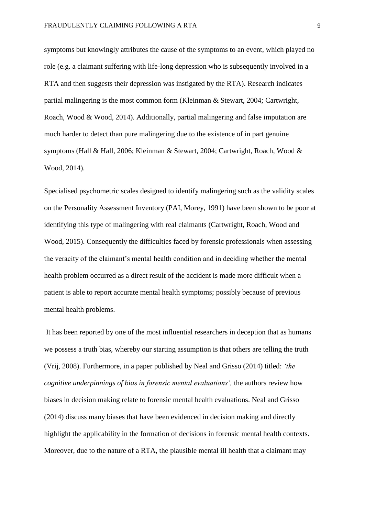symptoms but knowingly attributes the cause of the symptoms to an event, which played no role (e.g. a claimant suffering with life-long depression who is subsequently involved in a RTA and then suggests their depression was instigated by the RTA). Research indicates partial malingering is the most common form (Kleinman & Stewart, 2004; Cartwright, Roach, Wood & Wood, 2014). Additionally, partial malingering and false imputation are much harder to detect than pure malingering due to the existence of in part genuine symptoms (Hall & Hall, 2006; Kleinman & Stewart, 2004; Cartwright, Roach, Wood & Wood, 2014).

Specialised psychometric scales designed to identify malingering such as the validity scales on the Personality Assessment Inventory (PAI, Morey, 1991) have been shown to be poor at identifying this type of malingering with real claimants (Cartwright, Roach, Wood and Wood, 2015). Consequently the difficulties faced by forensic professionals when assessing the veracity of the claimant's mental health condition and in deciding whether the mental health problem occurred as a direct result of the accident is made more difficult when a patient is able to report accurate mental health symptoms; possibly because of previous mental health problems.

It has been reported by one of the most influential researchers in deception that as humans we possess a truth bias, whereby our starting assumption is that others are telling the truth (Vrij, 2008). Furthermore, in a paper published by Neal and Grisso (2014) titled: *'the cognitive underpinnings of bias in forensic mental evaluations',* the authors review how biases in decision making relate to forensic mental health evaluations. Neal and Grisso (2014) discuss many biases that have been evidenced in decision making and directly highlight the applicability in the formation of decisions in forensic mental health contexts. Moreover, due to the nature of a RTA, the plausible mental ill health that a claimant may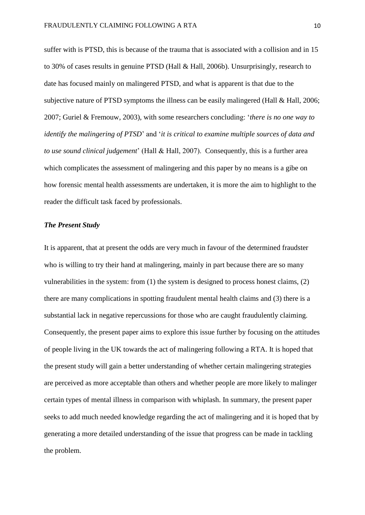suffer with is PTSD, this is because of the trauma that is associated with a collision and in 15 to 30% of cases results in genuine PTSD (Hall & Hall, 2006b). Unsurprisingly, research to date has focused mainly on malingered PTSD, and what is apparent is that due to the subjective nature of PTSD symptoms the illness can be easily malingered (Hall & Hall, 2006; 2007; Guriel & Fremouw, 2003), with some researchers concluding: '*there is no one way to identify the malingering of PTSD*' and '*it is critical to examine multiple sources of data and to use sound clinical judgement*' (Hall & Hall, 2007). Consequently, this is a further area which complicates the assessment of malingering and this paper by no means is a gibe on how forensic mental health assessments are undertaken, it is more the aim to highlight to the reader the difficult task faced by professionals.

#### *The Present Study*

It is apparent, that at present the odds are very much in favour of the determined fraudster who is willing to try their hand at malingering, mainly in part because there are so many vulnerabilities in the system: from (1) the system is designed to process honest claims, (2) there are many complications in spotting fraudulent mental health claims and (3) there is a substantial lack in negative repercussions for those who are caught fraudulently claiming. Consequently, the present paper aims to explore this issue further by focusing on the attitudes of people living in the UK towards the act of malingering following a RTA. It is hoped that the present study will gain a better understanding of whether certain malingering strategies are perceived as more acceptable than others and whether people are more likely to malinger certain types of mental illness in comparison with whiplash. In summary, the present paper seeks to add much needed knowledge regarding the act of malingering and it is hoped that by generating a more detailed understanding of the issue that progress can be made in tackling the problem.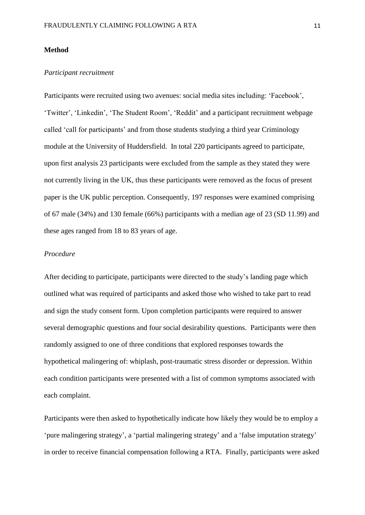#### **Method**

#### *Participant recruitment*

Participants were recruited using two avenues: social media sites including: 'Facebook', 'Twitter', 'Linkedin', 'The Student Room', 'Reddit' and a participant recruitment webpage called 'call for participants' and from those students studying a third year Criminology module at the University of Huddersfield. In total 220 participants agreed to participate, upon first analysis 23 participants were excluded from the sample as they stated they were not currently living in the UK, thus these participants were removed as the focus of present paper is the UK public perception. Consequently, 197 responses were examined comprising of 67 male (34%) and 130 female (66%) participants with a median age of 23 (SD 11.99) and these ages ranged from 18 to 83 years of age.

# *Procedure*

After deciding to participate, participants were directed to the study's landing page which outlined what was required of participants and asked those who wished to take part to read and sign the study consent form. Upon completion participants were required to answer several demographic questions and four social desirability questions. Participants were then randomly assigned to one of three conditions that explored responses towards the hypothetical malingering of: whiplash, post-traumatic stress disorder or depression. Within each condition participants were presented with a list of common symptoms associated with each complaint.

Participants were then asked to hypothetically indicate how likely they would be to employ a 'pure malingering strategy', a 'partial malingering strategy' and a 'false imputation strategy' in order to receive financial compensation following a RTA. Finally, participants were asked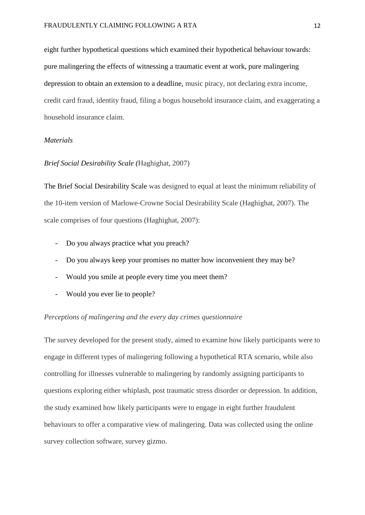eight further hypothetical questions which examined their hypothetical behaviour towards: pure malingering the effects of witnessing a traumatic event at work, pure malingering depression to obtain an extension to a deadline, music piracy, not declaring extra income, credit card fraud, identity fraud, filing a bogus household insurance claim, and exaggerating a household insurance claim.

#### *Materials*

#### *Brief Social Desirability Scale (*Haghighat, 2007)

The Brief Social Desirability Scale was designed to equal at least the minimum reliability of the 10-item version of Marlowe-Crowne Social Desirability Scale (Haghighat, 2007). The scale comprises of four questions (Haghighat, 2007):

- Do you always practice what you preach?
- Do you always keep your promises no matter how inconvenient they may be?
- Would you smile at people every time you meet them?
- Would you ever lie to people?

#### *Perceptions of malingering and the every day crimes questionnaire*

The survey developed for the present study, aimed to examine how likely participants were to engage in different types of malingering following a hypothetical RTA scenario, while also controlling for illnesses vulnerable to malingering by randomly assigning participants to questions exploring either whiplash, post traumatic stress disorder or depression. In addition, the study examined how likely participants were to engage in eight further fraudulent behaviours to offer a comparative view of malingering. Data was collected using the online survey collection software, survey gizmo.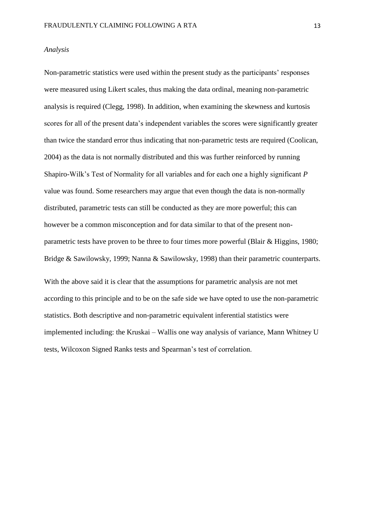#### *Analysis*

Non-parametric statistics were used within the present study as the participants' responses were measured using Likert scales, thus making the data ordinal, meaning non-parametric analysis is required (Clegg, 1998). In addition, when examining the skewness and kurtosis scores for all of the present data's independent variables the scores were significantly greater than twice the standard error thus indicating that non-parametric tests are required (Coolican, 2004) as the data is not normally distributed and this was further reinforced by running Shapiro-Wilk's Test of Normality for all variables and for each one a highly significant *P* value was found. Some researchers may argue that even though the data is non-normally distributed, parametric tests can still be conducted as they are more powerful; this can however be a common misconception and for data similar to that of the present nonparametric tests have proven to be three to four times more powerful (Blair & Higgins, 1980; Bridge & Sawilowsky, 1999; Nanna & Sawilowsky, 1998) than their parametric counterparts.

With the above said it is clear that the assumptions for parametric analysis are not met according to this principle and to be on the safe side we have opted to use the non-parametric statistics. Both descriptive and non-parametric equivalent inferential statistics were implemented including: the Kruskai – Wallis one way analysis of variance, Mann Whitney U tests, Wilcoxon Signed Ranks tests and Spearman's test of correlation.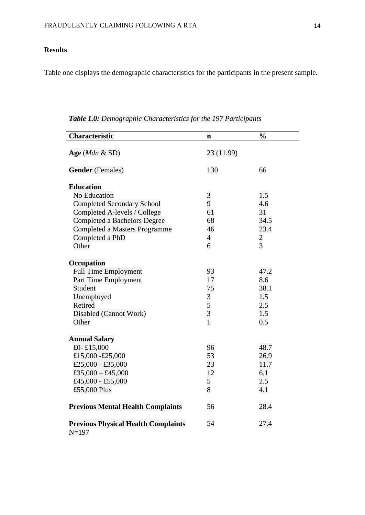# **Results**

Table one displays the demographic characteristics for the participants in the present sample.

| <b>Characteristic</b>                      | $\mathbf n$    | $\frac{0}{0}$ |
|--------------------------------------------|----------------|---------------|
|                                            |                |               |
| Age ( $Mdn \& SD$ )                        | 23 (11.99)     |               |
|                                            |                |               |
| <b>Gender</b> (Females)                    | 130            | 66            |
| <b>Education</b>                           |                |               |
| <b>No Education</b>                        | 3              | 1.5           |
| <b>Completed Secondary School</b>          | 9              | 4.6           |
| Completed A-levels / College               | 61             | 31            |
| <b>Completed a Bachelors Degree</b>        | 68             | 34.5          |
| Completed a Masters Programme              | 46             | 23.4          |
| Completed a PhD                            | $\overline{4}$ |               |
| Other                                      | 6              | $\frac{2}{3}$ |
|                                            |                |               |
| Occupation                                 |                |               |
| <b>Full Time Employment</b>                | 93             | 47.2          |
| Part Time Employment                       | 17             | 8.6           |
| Student                                    | 75             | 38.1          |
| Unemployed                                 | 3              | 1.5           |
| <b>Retired</b>                             | 5              | 2.5           |
| Disabled (Cannot Work)                     | $\overline{3}$ | 1.5           |
| Other                                      | $\overline{1}$ | 0.5           |
|                                            |                |               |
| <b>Annual Salary</b>                       |                |               |
| £0-£15,000                                 | 96             | 48.7          |
| £15,000 -£25,000                           | 53             | 26.9          |
| £25,000 - £35,000                          | 23             | 11.7          |
| £35,000 - £45,000                          | 12             | 6,1           |
| £45,000 - £55,000                          | 5              | 2.5           |
| £55,000 Plus                               | 8              | 4.1           |
|                                            |                |               |
| <b>Previous Mental Health Complaints</b>   | 56             | 28.4          |
| <b>Previous Physical Health Complaints</b> | 54             | 27.4          |
| $N = 197$                                  |                |               |

*Table 1.0: Demographic Characteristics for the 197 Participants*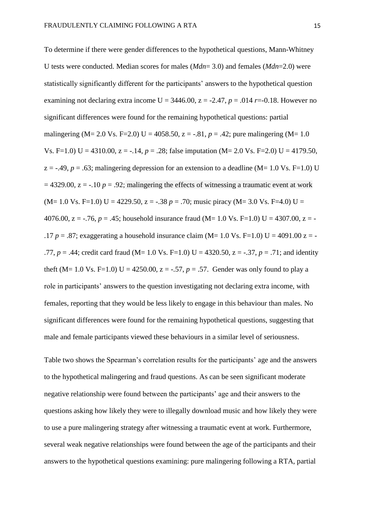To determine if there were gender differences to the hypothetical questions, Mann-Whitney U tests were conducted. Median scores for males (*Mdn*= 3.0) and females (*Mdn*=2.0) were statistically significantly different for the participants' answers to the hypothetical question examining not declaring extra income  $U = 3446.00$ ,  $z = -2.47$ ,  $p = .014$  *r*=-0.18. However no significant differences were found for the remaining hypothetical questions: partial malingering (M= 2.0 Vs. F=2.0) U = 4058.50,  $z = -0.81$ ,  $p = 0.42$ ; pure malingering (M= 1.0) Vs. F=1.0) U = 4310.00,  $z = -14$ ,  $p = 0.28$ ; false imputation (M= 2.0 Vs. F=2.0) U = 4179.50,  $z = -.49$ ,  $p = .63$ ; malingering depression for an extension to a deadline (M= 1.0 Vs. F=1.0) U  $= 4329.00$ ,  $z = -10$   $p = 0.92$ ; malingering the effects of witnessing a traumatic event at work  $(M= 1.0 \text{ Vs. F=1.0}) \text{ U} = 4229.50, z = -.38 p = .70; \text{ music privacy } (M= 3.0 \text{ Vs. F=4.0}) \text{ U} =$ 4076.00,  $z = -0.76$ ,  $p = 0.45$ ; household insurance fraud (M= 1.0 Vs. F=1.0) U = 4307.00,  $z = -1.6$ .17  $p = .87$ ; exaggerating a household insurance claim (M= 1.0 Vs. F=1.0) U = 4091.00 z = -.77,  $p = .44$ ; credit card fraud (M= 1.0 Vs. F=1.0) U = 4320.50,  $z = -.37$ ,  $p = .71$ ; and identity theft (M= 1.0 Vs. F=1.0) U = 4250.00,  $z = -.57$ ,  $p = .57$ . Gender was only found to play a role in participants' answers to the question investigating not declaring extra income, with females, reporting that they would be less likely to engage in this behaviour than males. No significant differences were found for the remaining hypothetical questions, suggesting that male and female participants viewed these behaviours in a similar level of seriousness.

Table two shows the Spearman's correlation results for the participants' age and the answers to the hypothetical malingering and fraud questions. As can be seen significant moderate negative relationship were found between the participants' age and their answers to the questions asking how likely they were to illegally download music and how likely they were to use a pure malingering strategy after witnessing a traumatic event at work. Furthermore, several weak negative relationships were found between the age of the participants and their answers to the hypothetical questions examining: pure malingering following a RTA, partial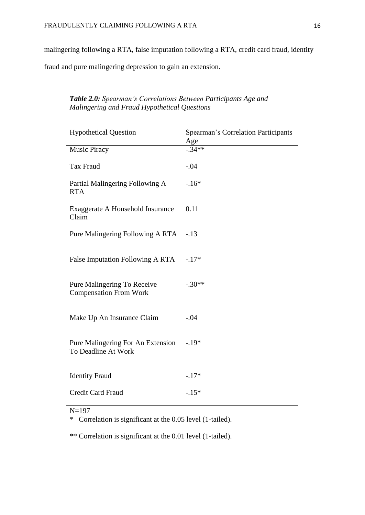malingering following a RTA, false imputation following a RTA, credit card fraud, identity

fraud and pure malingering depression to gain an extension.

# *Table 2.0: Spearman's Correlations Between Participants Age and Malingering and Fraud Hypothetical Questions*

| <b>Hypothetical Question</b>                                 | <b>Spearman's Correlation Participants</b><br>Age |
|--------------------------------------------------------------|---------------------------------------------------|
| <b>Music Piracy</b>                                          | $-.34**$                                          |
| Tax Fraud                                                    | $-.04$                                            |
| Partial Malingering Following A<br><b>RTA</b>                | $-.16*$                                           |
| Exaggerate A Household Insurance<br>Claim                    | 0.11                                              |
| Pure Malingering Following A RTA                             | $-.13$                                            |
| False Imputation Following A RTA                             | $-.17*$                                           |
| Pure Malingering To Receive<br><b>Compensation From Work</b> | $-.30**$                                          |
| Make Up An Insurance Claim                                   | $-.04$                                            |
| Pure Malingering For An Extension<br>To Deadline At Work     | $-.19*$                                           |
| <b>Identity Fraud</b>                                        | $-.17*$                                           |
| Credit Card Fraud                                            | $-.15*$                                           |

 $N=197$ 

\* Correlation is significant at the 0.05 level (1-tailed).

\*\* Correlation is significant at the 0.01 level (1-tailed).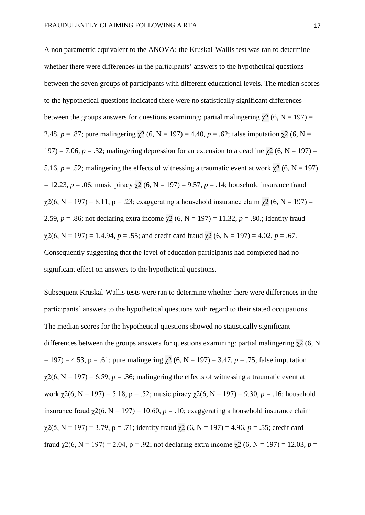A non parametric equivalent to the ANOVA: the Kruskal-Wallis test was ran to determine whether there were differences in the participants' answers to the hypothetical questions between the seven groups of participants with different educational levels. The median scores to the hypothetical questions indicated there were no statistically significant differences between the groups answers for questions examining: partial malingering  $\gamma$ 2 (6, N = 197) = 2.48,  $p = .87$ ; pure malingering  $\chi^2$  (6, N = 197) = 4.40,  $p = .62$ ; false imputation  $\chi^2$  (6, N = 197) = 7.06,  $p = 0.32$ ; malingering depression for an extension to a deadline  $\chi^2$  (6, N = 197) = 5.16,  $p = 0.52$ ; malingering the effects of witnessing a traumatic event at work  $\chi^2$  (6, N = 197)  $= 12.23, p = .06$ ; music piracy  $\gamma/2$  (6, N = 197) = 9.57, p = .14; household insurance fraud  $\gamma$ 2(6, N = 197) = 8.11, p = .23; exaggerating a household insurance claim  $\gamma$ 2 (6, N = 197) = 2.59,  $p = .86$ ; not declaring extra income  $\chi^2$  (6, N = 197) = 11.32,  $p = .80$ .; identity fraud  $\gamma$ 2(6, N = 197) = 1.4.94, *p* = .55; and credit card fraud  $\gamma$ 2 (6, N = 197) = 4.02, *p* = .67. Consequently suggesting that the level of education participants had completed had no significant effect on answers to the hypothetical questions.

Subsequent Kruskal-Wallis tests were ran to determine whether there were differences in the participants' answers to the hypothetical questions with regard to their stated occupations. The median scores for the hypothetical questions showed no statistically significant differences between the groups answers for questions examining: partial malingering  $\gamma$ 2 (6, N = 197) = 4.53, p = .61; pure malingering χ2 (6, N = 197) = 3.47, *p* = .75; false imputation  $\gamma$ 2(6, N = 197) = 6.59, *p* = .36; malingering the effects of witnessing a traumatic event at work  $\gamma$ 2(6, N = 197) = 5.18, p = .52; music piracy  $\gamma$ 2(6, N = 197) = 9.30, p = .16; household insurance fraud  $\chi$ 2(6, N = 197) = 10.60, p = .10; exaggerating a household insurance claim  $\gamma$ 2(5, N = 197) = 3.79, p = .71; identity fraud  $\gamma$ 2 (6, N = 197) = 4.96, p = .55; credit card fraud  $\gamma$ 2(6, N = 197) = 2.04, p = .92; not declaring extra income  $\gamma$ 2 (6, N = 197) = 12.03, p =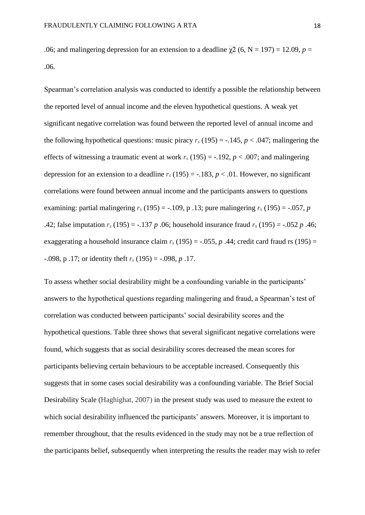.06; and malingering depression for an extension to a deadline  $\gamma$ 2 (6, N = 197) = 12.09, *p* = .06.

Spearman's correlation analysis was conducted to identify a possible the relationship between the reported level of annual income and the eleven hypothetical questions. A weak yet significant negative correlation was found between the reported level of annual income and the following hypothetical questions: music piracy  $r_s(195) = -0.145$ ,  $p < 0.047$ ; malingering the effects of witnessing a traumatic event at work  $r_s(195) = -0.192$ ,  $p < 0.007$ ; and malingering depression for an extension to a deadline  $r_s(195) = -.183$ ,  $p < .01$ . However, no significant correlations were found between annual income and the participants answers to questions examining: partial malingering  $r_s$  (195) = -.109, p .13; pure malingering  $r_s$  (195) = -.057, *p* .42; false imputation *r<sup>s</sup>* (195) = -.137 *p* .06; household insurance fraud *r<sup>s</sup>* (195) = -.052 *p* .46; exaggerating a household insurance claim  $r_s(195) = -0.055$ , *p* .44; credit card fraud rs (195) = -.098, p .17; or identity theft *r<sup>s</sup>* (195) = -.098, *p* .17.

To assess whether social desirability might be a confounding variable in the participants' answers to the hypothetical questions regarding malingering and fraud, a Spearman's test of correlation was conducted between participants' social desirability scores and the hypothetical questions. Table three shows that several significant negative correlations were found, which suggests that as social desirability scores decreased the mean scores for participants believing certain behaviours to be acceptable increased. Consequently this suggests that in some cases social desirability was a confounding variable. The Brief Social Desirability Scale (Haghighat, 2007) in the present study was used to measure the extent to which social desirability influenced the participants' answers. Moreover, it is important to remember throughout, that the results evidenced in the study may not be a true reflection of the participants belief, subsequently when interpreting the results the reader may wish to refer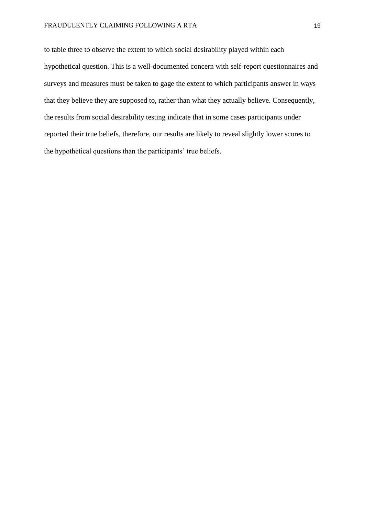to table three to observe the extent to which social desirability played within each hypothetical question. This is a well-documented concern with self-report questionnaires and surveys and measures must be taken to gage the extent to which participants answer in ways that they believe they are supposed to, rather than what they actually believe. Consequently, the results from social desirability testing indicate that in some cases participants under reported their true beliefs, therefore, our results are likely to reveal slightly lower scores to the hypothetical questions than the participants' true beliefs.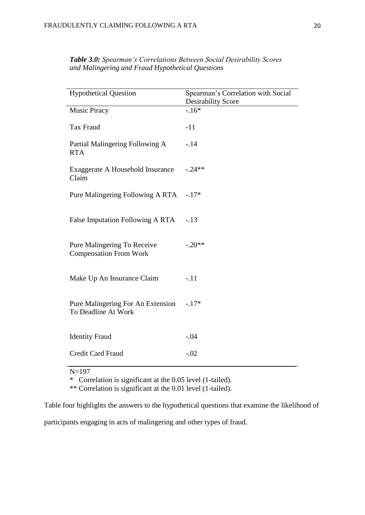| <b>Hypothetical Question</b>                                 | Spearman's Correlation with Social<br><b>Desirability Score</b> |
|--------------------------------------------------------------|-----------------------------------------------------------------|
| <b>Music Piracy</b>                                          | $-.16*$                                                         |
| Tax Fraud                                                    | $-11$                                                           |
| Partial Malingering Following A<br><b>RTA</b>                | $-.14$                                                          |
| Exaggerate A Household Insurance<br>Claim                    | $-.24**$                                                        |
| Pure Malingering Following A RTA                             | $-.17*$                                                         |
| False Imputation Following A RTA                             | $-.13$                                                          |
| Pure Malingering To Receive<br><b>Compensation From Work</b> | $-.20**$                                                        |
| Make Up An Insurance Claim                                   | $-.11$                                                          |
| Pure Malingering For An Extension<br>To Deadline At Work     | $-.17*$                                                         |
| <b>Identity Fraud</b>                                        | $-.04$                                                          |
| Credit Card Fraud                                            | $-.02$                                                          |

*Table 3.0: Spearman's Correlations Between Social Desirability Scores and Malingering and Fraud Hypothetical Questions*

N=197

\* Correlation is significant at the 0.05 level (1-tailed).

\*\* Correlation is significant at the 0.01 level (1-tailed).

Table four highlights the answers to the hypothetical questions that examine the likelihood of

participants engaging in acts of malingering and other types of fraud.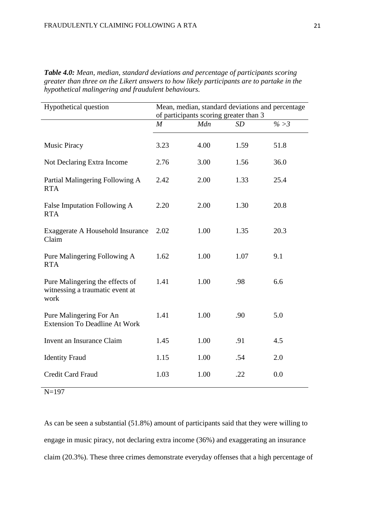| Hypothetical question                                                      | Mean, median, standard deviations and percentage<br>of participants scoring greater than 3 |      |      |      |
|----------------------------------------------------------------------------|--------------------------------------------------------------------------------------------|------|------|------|
|                                                                            | $\boldsymbol{M}$                                                                           | Mdn  | SD   | % >3 |
| <b>Music Piracy</b>                                                        | 3.23                                                                                       | 4.00 | 1.59 | 51.8 |
| Not Declaring Extra Income                                                 | 2.76                                                                                       | 3.00 | 1.56 | 36.0 |
| Partial Malingering Following A<br><b>RTA</b>                              | 2.42                                                                                       | 2.00 | 1.33 | 25.4 |
| False Imputation Following A<br><b>RTA</b>                                 | 2.20                                                                                       | 2.00 | 1.30 | 20.8 |
| Exaggerate A Household Insurance<br>Claim                                  | 2.02                                                                                       | 1.00 | 1.35 | 20.3 |
| Pure Malingering Following A<br><b>RTA</b>                                 | 1.62                                                                                       | 1.00 | 1.07 | 9.1  |
| Pure Malingering the effects of<br>witnessing a traumatic event at<br>work | 1.41                                                                                       | 1.00 | .98  | 6.6  |
| Pure Malingering For An<br><b>Extension To Deadline At Work</b>            | 1.41                                                                                       | 1.00 | .90  | 5.0  |
| Invent an Insurance Claim                                                  | 1.45                                                                                       | 1.00 | .91  | 4.5  |
| <b>Identity Fraud</b>                                                      | 1.15                                                                                       | 1.00 | .54  | 2.0  |
| <b>Credit Card Fraud</b>                                                   | 1.03                                                                                       | 1.00 | .22  | 0.0  |

*Table 4.0: Mean, median, standard deviations and percentage of participants scoring greater than three on the Likert answers to how likely participants are to partake in the hypothetical malingering and fraudulent behaviours.*

N=197

As can be seen a substantial (51.8%) amount of participants said that they were willing to engage in music piracy, not declaring extra income (36%) and exaggerating an insurance claim (20.3%). These three crimes demonstrate everyday offenses that a high percentage of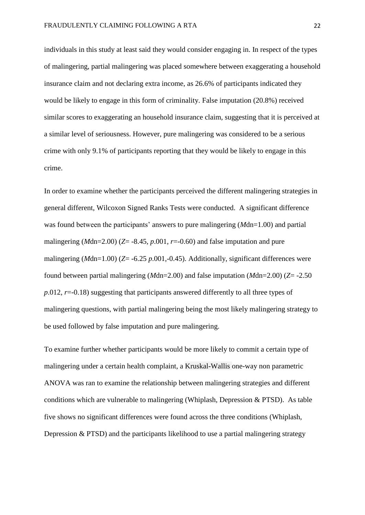individuals in this study at least said they would consider engaging in. In respect of the types of malingering, partial malingering was placed somewhere between exaggerating a household insurance claim and not declaring extra income, as 26.6% of participants indicated they would be likely to engage in this form of criminality. False imputation (20.8%) received similar scores to exaggerating an household insurance claim, suggesting that it is perceived at a similar level of seriousness. However, pure malingering was considered to be a serious crime with only 9.1% of participants reporting that they would be likely to engage in this crime.

In order to examine whether the participants perceived the different malingering strategies in general different, Wilcoxon Signed Ranks Tests were conducted. A significant difference was found between the participants' answers to pure malingering (*M*dn=1.00) and partial malingering ( $M$ dn=2.00) ( $Z$ = -8.45,  $p.001$ ,  $r$ =-0.60) and false imputation and pure malingering (*M*dn=1.00) (*Z*= -6.25 *p*.001,-0.45). Additionally, significant differences were found between partial malingering (*M*dn=2.00) and false imputation (*M*dn=2.00) (*Z*= -2.50 *p.*012, *r*=-0.18) suggesting that participants answered differently to all three types of malingering questions, with partial malingering being the most likely malingering strategy to be used followed by false imputation and pure malingering.

To examine further whether participants would be more likely to commit a certain type of malingering under a certain health complaint, a Kruskal-Wallis one-way non parametric ANOVA was ran to examine the relationship between malingering strategies and different conditions which are vulnerable to malingering (Whiplash, Depression & PTSD). As table five shows no significant differences were found across the three conditions (Whiplash, Depression & PTSD) and the participants likelihood to use a partial malingering strategy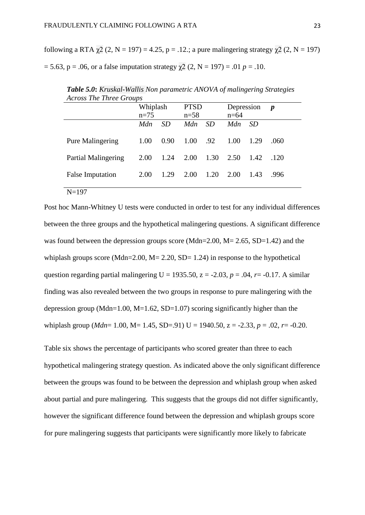following a RTA  $\chi$ 2 (2, N = 197) = 4.25, p = .12.; a pure malingering strategy  $\chi$ 2 (2, N = 197)  $= 5.63$ ,  $p = .06$ , or a false imputation strategy  $\gamma/2$  (2, N = 197) = .01  $p = .10$ .

| ACTOSS The Three Groups |          |      |             |           |            |      |                  |
|-------------------------|----------|------|-------------|-----------|------------|------|------------------|
|                         | Whiplash |      | <b>PTSD</b> |           | Depression |      | $\boldsymbol{p}$ |
|                         | $n=75$   |      | $n = 58$    |           | $n=64$     |      |                  |
|                         | Mdn      | SD   | <i>Mdn</i>  | <i>SD</i> | Mdn        | SD.  |                  |
|                         |          |      |             |           |            |      |                  |
| <b>Pure Malingering</b> | 1.00     | 0.90 | 1.00        | .92       | 1.00       | 1.29 | .060             |
|                         |          |      |             |           |            |      |                  |
| Partial Malingering     | 2.00     | 1.24 | 2.00        | 1.30      | 2.50       | 1.42 | .120             |
|                         |          |      |             |           |            |      |                  |
| <b>False Imputation</b> | 2.00     | 1.29 | 2.00        | 1.20      | 2.00       | 1.43 | .996             |
|                         |          |      |             |           |            |      |                  |
| $N = 197$               |          |      |             |           |            |      |                  |

*Table 5.0***:** *Kruskal-Wallis Non parametric ANOVA of malingering Strategies Across The Three Groups*

Post hoc Mann-Whitney U tests were conducted in order to test for any individual differences between the three groups and the hypothetical malingering questions. A significant difference was found between the depression groups score (Mdn=2.00, M= 2.65, SD=1.42) and the whiplash groups score (Mdn=2.00,  $M = 2.20$ ,  $SD = 1.24$ ) in response to the hypothetical question regarding partial malingering  $U = 1935.50$ ,  $z = -2.03$ ,  $p = .04$ ,  $r = -0.17$ . A similar finding was also revealed between the two groups in response to pure malingering with the depression group (Mdn=1.00, M=1.62, SD=1.07) scoring significantly higher than the whiplash group (*Mdn*= 1.00, M= 1.45, SD=.91) U = 1940.50, z = -2.33, *p* = .02, *r*= -0.20.

Table six shows the percentage of participants who scored greater than three to each hypothetical malingering strategy question. As indicated above the only significant difference between the groups was found to be between the depression and whiplash group when asked about partial and pure malingering. This suggests that the groups did not differ significantly, however the significant difference found between the depression and whiplash groups score for pure malingering suggests that participants were significantly more likely to fabricate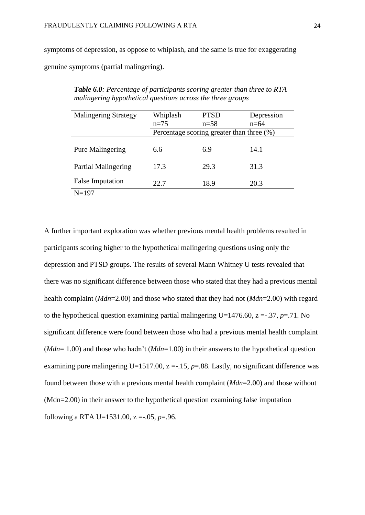symptoms of depression, as oppose to whiplash, and the same is true for exaggerating genuine symptoms (partial malingering).

| <b>Malingering Strategy</b> | Whiplash                                  | <b>PTSD</b> |        |  |  |
|-----------------------------|-------------------------------------------|-------------|--------|--|--|
|                             | $n=75$                                    | $n = 58$    | $n=64$ |  |  |
|                             | Percentage scoring greater than three (%) |             |        |  |  |
|                             |                                           |             |        |  |  |
| <b>Pure Malingering</b>     | 6.6                                       | 6.9         | 14.1   |  |  |
|                             |                                           |             |        |  |  |
| Partial Malingering         | 17.3                                      | 29.3        | 31.3   |  |  |
|                             |                                           |             |        |  |  |
| <b>False Imputation</b>     | 22.7                                      | 18.9        | 20.3   |  |  |
| $N = 197$                   |                                           |             |        |  |  |

*Table 6.0: Percentage of participants scoring greater than three to RTA malingering hypothetical questions across the three groups*

A further important exploration was whether previous mental health problems resulted in participants scoring higher to the hypothetical malingering questions using only the depression and PTSD groups. The results of several Mann Whitney U tests revealed that there was no significant difference between those who stated that they had a previous mental health complaint (*Mdn*=2.00) and those who stated that they had not (*Mdn*=2.00) with regard to the hypothetical question examining partial malingering U=1476.60,  $z = .37$ ,  $p = .71$ . No significant difference were found between those who had a previous mental health complaint (*Mdn*= 1.00) and those who hadn't (*Mdn*=1.00) in their answers to the hypothetical question examining pure malingering U=1517.00,  $z = -15$ ,  $p = 0.88$ . Lastly, no significant difference was found between those with a previous mental health complaint (*Mdn*=2.00) and those without (Mdn=2.00) in their answer to the hypothetical question examining false imputation following a RTA U=1531.00, z =-.05, *p*=.96.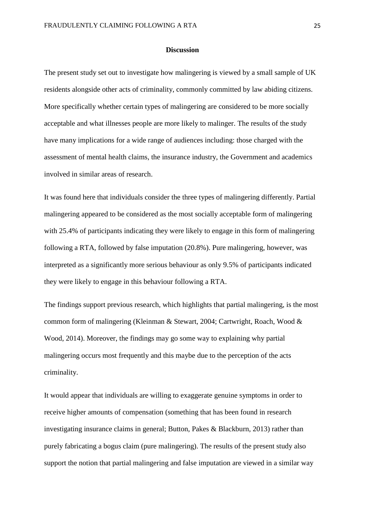#### **Discussion**

The present study set out to investigate how malingering is viewed by a small sample of UK residents alongside other acts of criminality, commonly committed by law abiding citizens. More specifically whether certain types of malingering are considered to be more socially acceptable and what illnesses people are more likely to malinger. The results of the study have many implications for a wide range of audiences including: those charged with the assessment of mental health claims, the insurance industry, the Government and academics involved in similar areas of research.

It was found here that individuals consider the three types of malingering differently. Partial malingering appeared to be considered as the most socially acceptable form of malingering with 25.4% of participants indicating they were likely to engage in this form of malingering following a RTA, followed by false imputation (20.8%). Pure malingering, however, was interpreted as a significantly more serious behaviour as only 9.5% of participants indicated they were likely to engage in this behaviour following a RTA.

The findings support previous research, which highlights that partial malingering, is the most common form of malingering (Kleinman & Stewart, 2004; Cartwright, Roach, Wood & Wood, 2014). Moreover, the findings may go some way to explaining why partial malingering occurs most frequently and this maybe due to the perception of the acts criminality.

It would appear that individuals are willing to exaggerate genuine symptoms in order to receive higher amounts of compensation (something that has been found in research investigating insurance claims in general; Button, Pakes & Blackburn, 2013) rather than purely fabricating a bogus claim (pure malingering). The results of the present study also support the notion that partial malingering and false imputation are viewed in a similar way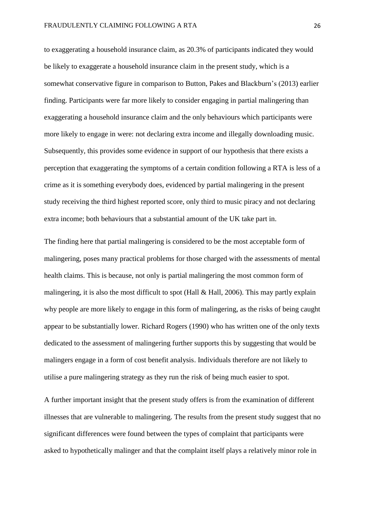to exaggerating a household insurance claim, as 20.3% of participants indicated they would be likely to exaggerate a household insurance claim in the present study, which is a somewhat conservative figure in comparison to Button, Pakes and Blackburn's (2013) earlier finding. Participants were far more likely to consider engaging in partial malingering than exaggerating a household insurance claim and the only behaviours which participants were more likely to engage in were: not declaring extra income and illegally downloading music. Subsequently, this provides some evidence in support of our hypothesis that there exists a perception that exaggerating the symptoms of a certain condition following a RTA is less of a crime as it is something everybody does, evidenced by partial malingering in the present study receiving the third highest reported score, only third to music piracy and not declaring extra income; both behaviours that a substantial amount of the UK take part in.

The finding here that partial malingering is considered to be the most acceptable form of malingering, poses many practical problems for those charged with the assessments of mental health claims. This is because, not only is partial malingering the most common form of malingering, it is also the most difficult to spot (Hall & Hall, 2006). This may partly explain why people are more likely to engage in this form of malingering, as the risks of being caught appear to be substantially lower. Richard Rogers (1990) who has written one of the only texts dedicated to the assessment of malingering further supports this by suggesting that would be malingers engage in a form of cost benefit analysis. Individuals therefore are not likely to utilise a pure malingering strategy as they run the risk of being much easier to spot.

A further important insight that the present study offers is from the examination of different illnesses that are vulnerable to malingering. The results from the present study suggest that no significant differences were found between the types of complaint that participants were asked to hypothetically malinger and that the complaint itself plays a relatively minor role in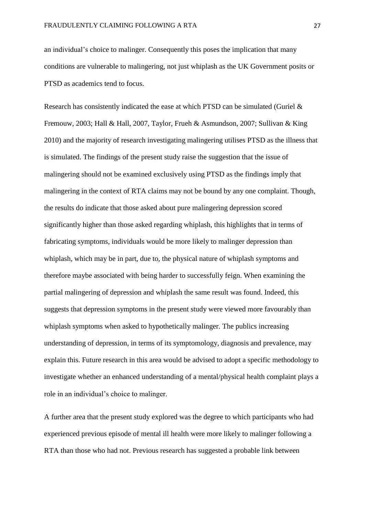an individual's choice to malinger. Consequently this poses the implication that many conditions are vulnerable to malingering, not just whiplash as the UK Government posits or PTSD as academics tend to focus.

Research has consistently indicated the ease at which PTSD can be simulated (Guriel & Fremouw, 2003; Hall & Hall, 2007, Taylor, Frueh & Asmundson, 2007; Sullivan & King 2010) and the majority of research investigating malingering utilises PTSD as the illness that is simulated. The findings of the present study raise the suggestion that the issue of malingering should not be examined exclusively using PTSD as the findings imply that malingering in the context of RTA claims may not be bound by any one complaint. Though, the results do indicate that those asked about pure malingering depression scored significantly higher than those asked regarding whiplash, this highlights that in terms of fabricating symptoms, individuals would be more likely to malinger depression than whiplash, which may be in part, due to, the physical nature of whiplash symptoms and therefore maybe associated with being harder to successfully feign. When examining the partial malingering of depression and whiplash the same result was found. Indeed, this suggests that depression symptoms in the present study were viewed more favourably than whiplash symptoms when asked to hypothetically malinger. The publics increasing understanding of depression, in terms of its symptomology, diagnosis and prevalence, may explain this. Future research in this area would be advised to adopt a specific methodology to investigate whether an enhanced understanding of a mental/physical health complaint plays a role in an individual's choice to malinger.

A further area that the present study explored was the degree to which participants who had experienced previous episode of mental ill health were more likely to malinger following a RTA than those who had not. Previous research has suggested a probable link between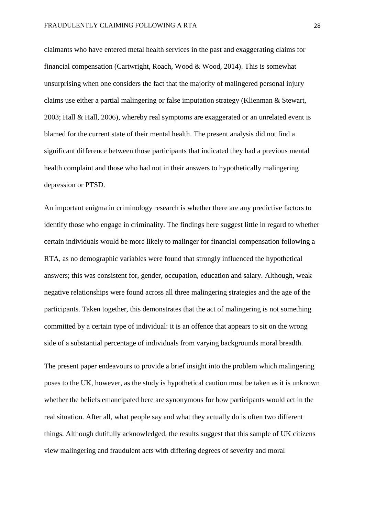claimants who have entered metal health services in the past and exaggerating claims for financial compensation (Cartwright, Roach, Wood & Wood, 2014). This is somewhat unsurprising when one considers the fact that the majority of malingered personal injury claims use either a partial malingering or false imputation strategy (Klienman & Stewart, 2003; Hall & Hall, 2006), whereby real symptoms are exaggerated or an unrelated event is blamed for the current state of their mental health. The present analysis did not find a significant difference between those participants that indicated they had a previous mental health complaint and those who had not in their answers to hypothetically malingering depression or PTSD.

An important enigma in criminology research is whether there are any predictive factors to identify those who engage in criminality. The findings here suggest little in regard to whether certain individuals would be more likely to malinger for financial compensation following a RTA, as no demographic variables were found that strongly influenced the hypothetical answers; this was consistent for, gender, occupation, education and salary. Although, weak negative relationships were found across all three malingering strategies and the age of the participants. Taken together, this demonstrates that the act of malingering is not something committed by a certain type of individual: it is an offence that appears to sit on the wrong side of a substantial percentage of individuals from varying backgrounds moral breadth.

The present paper endeavours to provide a brief insight into the problem which malingering poses to the UK, however, as the study is hypothetical caution must be taken as it is unknown whether the beliefs emancipated here are synonymous for how participants would act in the real situation. After all, what people say and what they actually do is often two different things. Although dutifully acknowledged, the results suggest that this sample of UK citizens view malingering and fraudulent acts with differing degrees of severity and moral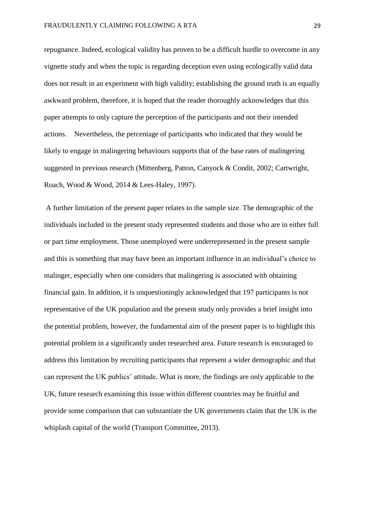repugnance. Indeed, ecological validity has proven to be a difficult hurdle to overcome in any vignette study and when the topic is regarding deception even using ecologically valid data does not result in an experiment with high validity; establishing the ground truth is an equally awkward problem, therefore, it is hoped that the reader thoroughly acknowledges that this paper attempts to only capture the perception of the participants and not their intended actions. Nevertheless, the percentage of participants who indicated that they would be likely to engage in malingering behaviours supports that of the base rates of malingering suggested in previous research (Mittenberg, Patton, Canyock & Condit, 2002; Cartwright, Roach, Wood & Wood, 2014 & Lees-Haley, 1997).

A further limitation of the present paper relates to the sample size. The demographic of the individuals included in the present study represented students and those who are in either full or part time employment. Those unemployed were underrepresented in the present sample and this is something that may have been an important influence in an individual's choice to malinger, especially when one considers that malingering is associated with obtaining financial gain. In addition, it is unquestioningly acknowledged that 197 participants is not representative of the UK population and the present study only provides a brief insight into the potential problem, however, the fundamental aim of the present paper is to highlight this potential problem in a significantly under researched area. Future research is encouraged to address this limitation by recruiting participants that represent a wider demographic and that can represent the UK publics' attitude. What is more, the findings are only applicable to the UK, future research examining this issue within different countries may be fruitful and provide some comparison that can substantiate the UK governments claim that the UK is the whiplash capital of the world (Transport Committee, 2013).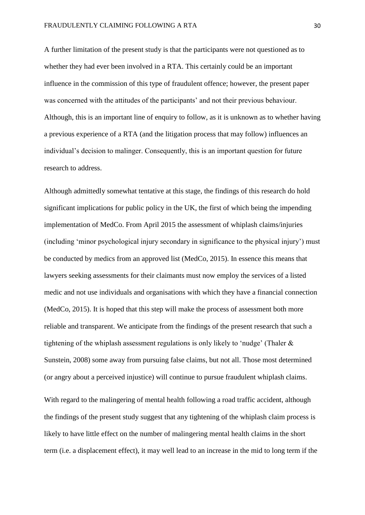A further limitation of the present study is that the participants were not questioned as to whether they had ever been involved in a RTA. This certainly could be an important influence in the commission of this type of fraudulent offence; however, the present paper was concerned with the attitudes of the participants' and not their previous behaviour. Although, this is an important line of enquiry to follow, as it is unknown as to whether having a previous experience of a RTA (and the litigation process that may follow) influences an individual's decision to malinger. Consequently, this is an important question for future research to address.

Although admittedly somewhat tentative at this stage, the findings of this research do hold significant implications for public policy in the UK, the first of which being the impending implementation of MedCo. From April 2015 the assessment of whiplash claims/injuries (including 'minor psychological injury secondary in significance to the physical injury') must be conducted by medics from an approved list (MedCo, 2015). In essence this means that lawyers seeking assessments for their claimants must now employ the services of a listed medic and not use individuals and organisations with which they have a financial connection (MedCo, 2015). It is hoped that this step will make the process of assessment both more reliable and transparent. We anticipate from the findings of the present research that such a tightening of the whiplash assessment regulations is only likely to 'nudge' (Thaler  $\&$ Sunstein, 2008) some away from pursuing false claims, but not all. Those most determined (or angry about a perceived injustice) will continue to pursue fraudulent whiplash claims.

With regard to the malingering of mental health following a road traffic accident, although the findings of the present study suggest that any tightening of the whiplash claim process is likely to have little effect on the number of malingering mental health claims in the short term (i.e. a displacement effect), it may well lead to an increase in the mid to long term if the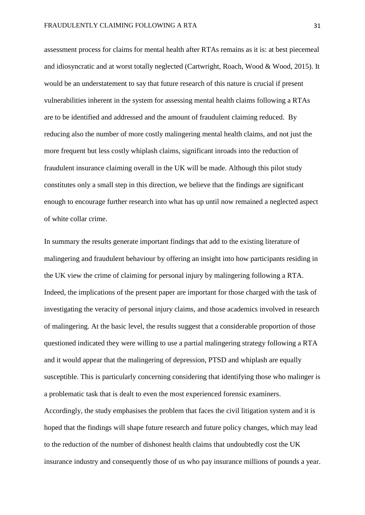assessment process for claims for mental health after RTAs remains as it is: at best piecemeal and idiosyncratic and at worst totally neglected (Cartwright, Roach, Wood & Wood, 2015). It would be an understatement to say that future research of this nature is crucial if present vulnerabilities inherent in the system for assessing mental health claims following a RTAs are to be identified and addressed and the amount of fraudulent claiming reduced. By reducing also the number of more costly malingering mental health claims, and not just the more frequent but less costly whiplash claims, significant inroads into the reduction of fraudulent insurance claiming overall in the UK will be made. Although this pilot study constitutes only a small step in this direction, we believe that the findings are significant enough to encourage further research into what has up until now remained a neglected aspect of white collar crime.

In summary the results generate important findings that add to the existing literature of malingering and fraudulent behaviour by offering an insight into how participants residing in the UK view the crime of claiming for personal injury by malingering following a RTA. Indeed, the implications of the present paper are important for those charged with the task of investigating the veracity of personal injury claims, and those academics involved in research of malingering. At the basic level, the results suggest that a considerable proportion of those questioned indicated they were willing to use a partial malingering strategy following a RTA and it would appear that the malingering of depression, PTSD and whiplash are equally susceptible. This is particularly concerning considering that identifying those who malinger is a problematic task that is dealt to even the most experienced forensic examiners. Accordingly, the study emphasises the problem that faces the civil litigation system and it is hoped that the findings will shape future research and future policy changes, which may lead

insurance industry and consequently those of us who pay insurance millions of pounds a year.

to the reduction of the number of dishonest health claims that undoubtedly cost the UK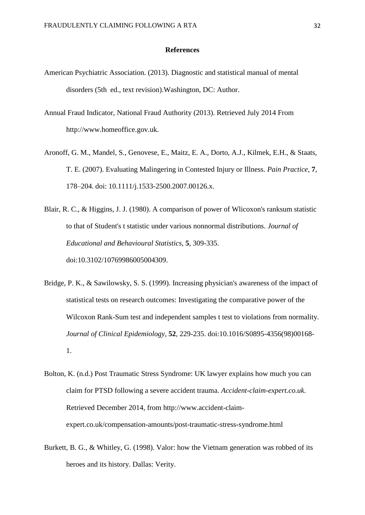#### **References**

- American Psychiatric Association. (2013). Diagnostic and statistical manual of mental disorders (5th ed., text revision).Washington, DC: Author.
- Annual Fraud Indicator, National Fraud Authority (2013). Retrieved July 2014 From http://www.homeoffice.gov.uk.
- Aronoff, G. M., Mandel, S., Genovese, E., Maitz, E. A., Dorto, A.J., Kilmek, E.H., & Staats, T. E. (2007). Evaluating Malingering in Contested Injury or Illness. *Pain Practice*, **7**, 178–204. doi: 10.1111/j.1533-2500.2007.00126.x.
- Blair, R. C., & Higgins, J. J. (1980). A comparison of power of Wlicoxon's ranksum statistic to that of Student's t statistic under various nonnormal distributions. *Journal of Educational and Behavioural Statistics*, **5**, 309-335. doi:10.3102/10769986005004309.
- Bridge, P. K., & Sawilowsky, S. S. (1999). Increasing physician's awareness of the impact of statistical tests on research outcomes: Investigating the comparative power of the Wilcoxon Rank-Sum test and independent samples t test to violations from normality. *Journal of Clinical Epidemiology*, **52**, 229-235. doi:10.1016/S0895-4356(98)00168- 1.
- Bolton, K. (n.d.) Post Traumatic Stress Syndrome: UK lawyer explains how much you can claim for PTSD following a severe accident trauma. *Accident-claim-expert.co.uk*. Retrieved December 2014, from http://www.accident-claimexpert.co.uk/compensation-amounts/post-traumatic-stress-syndrome.html
- Burkett, B. G., & Whitley, G. (1998). Valor: how the Vietnam generation was robbed of its heroes and its history. Dallas: Verity.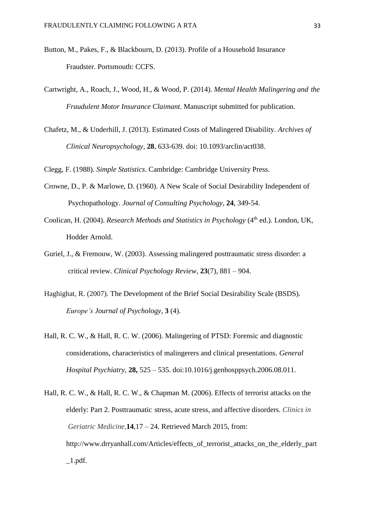- Button, M., Pakes, F., & Blackbourn, D. (2013). Profile of a Household Insurance Fraudster. Portsmouth: CCFS.
- Cartwright, A., Roach, J., Wood, H., & Wood, P. (2014). *Mental Health Malingering and the Fraudulent Motor Insurance Claimant*. Manuscript submitted for publication.
- Chafetz, M., & Underhill, J. (2013). Estimated Costs of Malingered Disability. *Archives of Clinical Neuropsychology*, **28**, 633-639. doi: 10.1093/arclin/act038.

Clegg, F. (1988). *Simple Statistics*. Cambridge: Cambridge University Press.

- Crowne, D., P. & Marlowe, D. (1960). A New Scale of Social Desirability Independent of Psychopathology. *Journal of Consulting Psychology*, **24**, 349-54.
- Coolican, H. (2004). *Research Methods and Statistics in Psychology* (4<sup>th</sup> ed.). London, UK, Hodder Arnold.
- Guriel, J., & Fremouw, W. (2003). Assessing malingered posttraumatic stress disorder: a critical review. *Clinical Psychology Review*, **23**(7), 881 – 904.
- Haghighat, R. (2007). The Development of the Brief Social Desirability Scale (BSDS). *Europe's Journal of Psychology*, **3** (4).
- Hall, R. C. W., & Hall, R. C. W. (2006). Malingering of PTSD: Forensic and diagnostic considerations, characteristics of malingerers and clinical presentations. *General Hospital Psychiatry,* **28,** 525 – 535. doi:10.1016/j.genhosppsych.2006.08.011.
- Hall, R. C. W., & Hall, R. C. W., & Chapman M. (2006). Effects of terrorist attacks on the elderly: Part 2. Posttraumatic stress, acute stress, and affective disorders. *Clinics in Geriatric Medicine,***14**,17 – 24. Retrieved March 2015, from: http://www.drryanhall.com/Articles/effects\_of\_terrorist\_attacks\_on\_the\_elderly\_part  $\_1.pdf$ .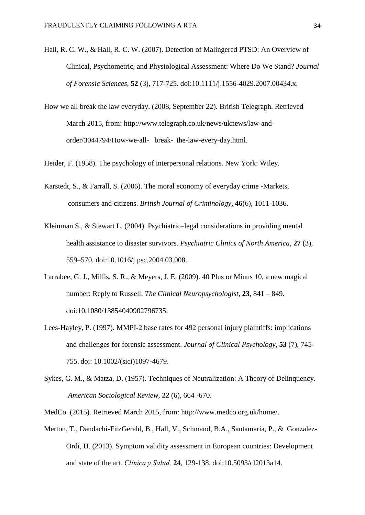- Hall, R. C. W., & Hall, R. C. W. (2007). Detection of Malingered PTSD: An Overview of Clinical, Psychometric, and Physiological Assessment: Where Do We Stand? *Journal of Forensic Sciences*, **52** (3), 717-725. doi:10.1111/j.1556-4029.2007.00434.x.
- How we all break the law everyday. (2008, September 22). British Telegraph. Retrieved March 2015, from: http://www.telegraph.co.uk/news/uknews/law-andorder/3044794/How-we-all- break- the-law-every-day.html.

Heider, F. (1958). The psychology of interpersonal relations. New York: Wiley.

- Karstedt, S., & Farrall, S. (2006). The moral economy of everyday crime -Markets, consumers and citizens. *British Journal of Criminology*, **46**(6), 1011-1036.
- Kleinman S., & Stewart L. (2004). Psychiatric–legal considerations in providing mental health assistance to disaster survivors. *Psychiatric Clinics of North America*, **27** (3), 559–570. doi:10.1016/j.psc.2004.03.008.
- Larrabee, G. J., Millis, S. R., & Meyers, J. E. (2009). 40 Plus or Minus 10, a new magical number: Reply to Russell. *The Clinical Neuropsychologist*, **23**, 841 – 849. doi:10.1080/13854040902796735.
- Lees-Hayley, P. (1997). MMPI-2 base rates for 492 personal injury plaintiffs: implications and challenges for forensic assessment. *Journal of Clinical Psychology*, **53** (7), 745- 755. doi: 10.1002/(sici)1097-4679.
- Sykes, G. M., & Matza, D. (1957). Techniques of Neutralization: A Theory of Delinquency. *American Sociological Review*, **22** (6), 664 -670.

MedCo. (2015). Retrieved March 2015, from: http://www.medco.org.uk/home/.

Merton, T., Dandachi-FitzGerald, B., Hall, V., Schmand, B.A., Santamaria, P., & Gonzalez-Ordi, H. (2013). Symptom validity assessment in European countries: Development and state of the art*. Clínica y Salud,* **24**, 129-138. doi:10.5093/cl2013a14.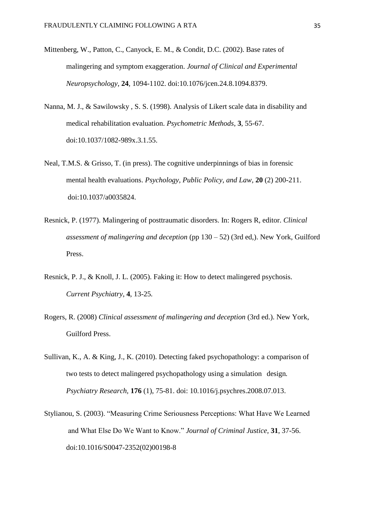- Mittenberg, W., Patton, C., Canyock, E. M., & Condit, D.C. (2002). Base rates of malingering and symptom exaggeration. *Journal of Clinical and Experimental Neuropsychology*, **24**, 1094-1102. doi:10.1076/jcen.24.8.1094.8379.
- Nanna, M. J., & Sawilowsky , S. S. (1998). Analysis of Likert scale data in disability and medical rehabilitation evaluation. *Psychometric Methods*, **3**, 55-67. doi:10.1037/1082-989x.3.1.55.
- Neal, T.M.S. & Grisso, T. (in press). The cognitive underpinnings of bias in forensic mental health evaluations. *Psychology, Public Policy, and Law,* **20** (2) 200-211. doi:10.1037/a0035824.
- Resnick, P. (1977). Malingering of posttraumatic disorders. In: Rogers R, editor. *Clinical assessment of malingering and deception* (pp 130 – 52) (3rd ed,). New York, Guilford Press.
- Resnick, P. J., & Knoll, J. L. (2005). Faking it: How to detect malingered psychosis. *Current Psychiatry*, **4**, 13-25*.*
- Rogers, R. (2008) *Clinical assessment of malingering and deception* (3rd ed.). New York, Guilford Press.
- Sullivan, K., A. & King, J., K. (2010). Detecting faked psychopathology: a comparison of two tests to detect malingered psychopathology using a simulation design*. Psychiatry Research,* **176** (1), 75-81. doi: 10.1016/j.psychres.2008.07.013.
- Stylianou, S. (2003). "Measuring Crime Seriousness Perceptions: What Have We Learned and What Else Do We Want to Know." *Journal of Criminal Justice,* **31**, 37-56. doi:10.1016/S0047-2352(02)00198-8